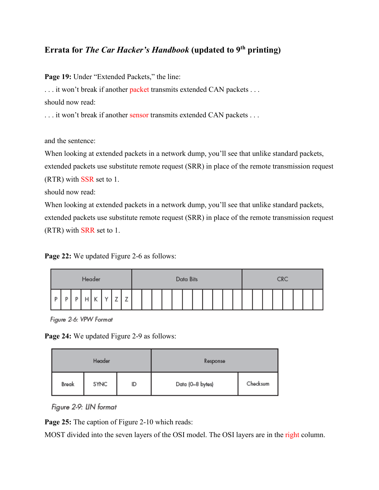## **Errata for** *The Car Hacker's Handbook* **(updated to 9<sup>th</sup> printing)**

Page 19: Under "Extended Packets," the line:

... it won't break if another packet transmits extended CAN packets ...

should now read:

... it won't break if another sensor transmits extended CAN packets ...

and the sentence:

When looking at extended packets in a network dump, you'll see that unlike standard packets, extended packets use substitute remote request (SRR) in place of the remote transmission request (RTR) with SSR set to 1.

should now read:

When looking at extended packets in a network dump, you'll see that unlike standard packets, extended packets use substitute remote request (SRR) in place of the remote transmission request (RTR) with SRR set to 1.

Page 22: We updated Figure 2-6 as follows:

| Header |  |  |  |                     |  | Data Bits |          |  |  |  |  |  |  | <b>CRC</b> |  |  |  |  |  |  |  |  |  |  |  |  |
|--------|--|--|--|---------------------|--|-----------|----------|--|--|--|--|--|--|------------|--|--|--|--|--|--|--|--|--|--|--|--|
| . Fr   |  |  |  | $\overline{1}$<br>٠ |  | <u>_</u>  | <b>_</b> |  |  |  |  |  |  |            |  |  |  |  |  |  |  |  |  |  |  |  |

Figure 2-6: VPW Format

**Page 24:** We updated Figure 2-9 as follows:

|       | Header |    | Response         |          |  |  |  |
|-------|--------|----|------------------|----------|--|--|--|
| Break | SYNC   | ID | Data (0-8 bytes) | Checksum |  |  |  |

Figure 2-9: LIN format

Page 25: The caption of Figure 2-10 which reads:

MOST divided into the seven layers of the OSI model. The OSI layers are in the right column.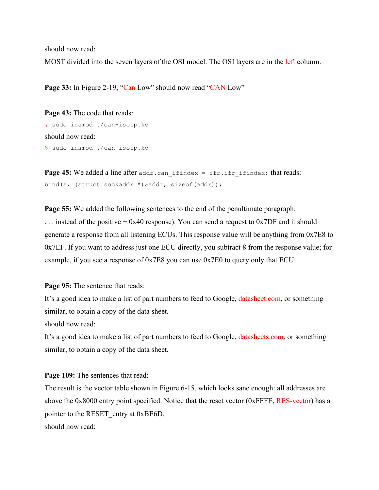should now read: MOST divided into the seven layers of the OSI model. The OSI layers are in the left column.

Page 33: In Figure 2-19, "Can Low" should now read "CAN Low"

```
Page 43: The code that reads:
# sudo insmod ./can-isotp.ko
should now read:
$ sudo insmod ./can-isotp.ko
```
**Page 45:** We added a line after  $\alpha$  and  $\alpha$ . can if index = ifr.ifr if index; that reads: bind(s, (struct sockaddr \*) &addr, sizeof(addr));

**Page 55:** We added the following sentences to the end of the penultimate paragraph: ... instead of the positive  $+$  0x40 response). You can send a request to 0x7DF and it should generate a response from all listening ECUs. This response value will be anything from 0x7E8 to 0x7EF. If you want to address just one ECU directly, you subtract 8 from the response value; for example, if you see a response of 0x7E8 you can use 0x7E0 to query only that ECU.

Page 95: The sentence that reads:

It's a good idea to make a list of part numbers to feed to Google, datasheet.com, or something similar, to obtain a copy of the data sheet.

should now read:

It's a good idea to make a list of part numbers to feed to Google, datasheets.com, or something similar, to obtain a copy of the data sheet.

**Page 109:** The sentences that read:

The result is the vector table shown in Figure 6-15, which looks sane enough: all addresses are above the 0x8000 entry point specified. Notice that the reset vector (0xFFFE, RES-vector) has a pointer to the RESET entry at 0xBE6D. should now read: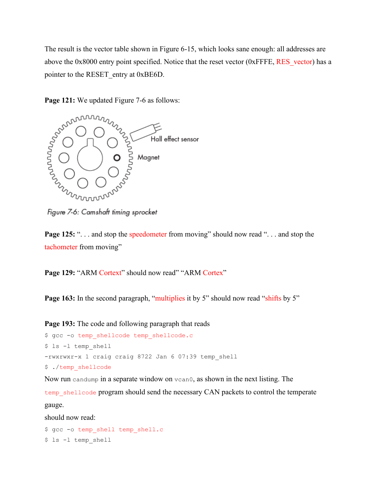The result is the vector table shown in Figure 6-15, which looks sane enough: all addresses are above the 0x8000 entry point specified. Notice that the reset vector (0xFFFE, RES vector) has a pointer to the RESET entry at 0xBE6D.

Page 121: We updated Figure 7-6 as follows:



Figure 7-6: Camshaft timing sprocket

**Page 125:** "... and stop the speedometer from moving" should now read "... and stop the tachometer from moving"

Page 129: "ARM Cortext" should now read" "ARM Cortex"

**Page 163:** In the second paragraph, "multiplies it by 5" should now read "shifts by 5"

**Page 193:** The code and following paragraph that reads \$ gcc -o temp shellcode temp shellcode.c \$ ls -l temp\_shell

-rwxrwxr-x 1 craig craig 8722 Jan 6 07:39 temp\_shell

\$ ./temp\_shellcode

Now run candump in a separate window on vcan0, as shown in the next listing. The

temp\_shellcode program should send the necessary CAN packets to control the temperate gauge.

should now read:

```
$ gcc -o temp shell temp shell.c
$ ls -l temp_shell
```